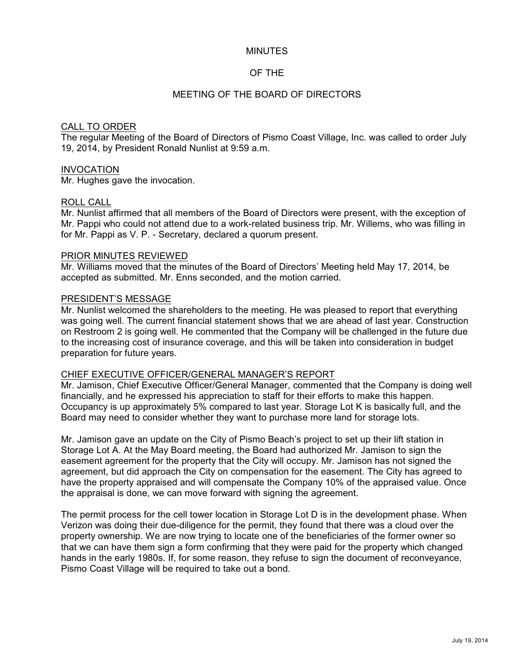### MINUTES

# OF THE

# MEETING OF THE BOARD OF DIRECTORS

### CALL TO ORDER

The regular Meeting of the Board of Directors of Pismo Coast Village, Inc. was called to order July 19, 2014, by President Ronald Nunlist at 9:59 a.m.

### INVOCATION

Mr. Hughes gave the invocation.

### ROLL CALL

Mr. Nunlist affirmed that all members of the Board of Directors were present, with the exception of Mr. Pappi who could not attend due to a work-related business trip. Mr. Willems, who was filling in for Mr. Pappi as V. P. - Secretary, declared a quorum present.

### PRIOR MINUTES REVIEWED

Mr. Williams moved that the minutes of the Board of Directors' Meeting held May 17, 2014, be accepted as submitted. Mr. Enns seconded, and the motion carried.

### PRESIDENT'S MESSAGE

Mr. Nunlist welcomed the shareholders to the meeting. He was pleased to report that everything was going well. The current financial statement shows that we are ahead of last year. Construction on Restroom 2 is going well. He commented that the Company will be challenged in the future due to the increasing cost of insurance coverage, and this will be taken into consideration in budget preparation for future years.

### CHIEF EXECUTIVE OFFICER/GENERAL MANAGER'S REPORT

Mr. Jamison, Chief Executive Officer/General Manager, commented that the Company is doing well financially, and he expressed his appreciation to staff for their efforts to make this happen. Occupancy is up approximately 5% compared to last year. Storage Lot K is basically full, and the Board may need to consider whether they want to purchase more land for storage lots.

Mr. Jamison gave an update on the City of Pismo Beach's project to set up their lift station in Storage Lot A. At the May Board meeting, the Board had authorized Mr. Jamison to sign the easement agreement for the property that the City will occupy. Mr. Jamison has not signed the agreement, but did approach the City on compensation for the easement. The City has agreed to have the property appraised and will compensate the Company 10% of the appraised value. Once the appraisal is done, we can move forward with signing the agreement.

The permit process for the cell tower location in Storage Lot D is in the development phase. When Verizon was doing their due-diligence for the permit, they found that there was a cloud over the property ownership. We are now trying to locate one of the beneficiaries of the former owner so that we can have them sign a form confirming that they were paid for the property which changed hands in the early 1980s. If, for some reason, they refuse to sign the document of reconveyance, Pismo Coast Village will be required to take out a bond.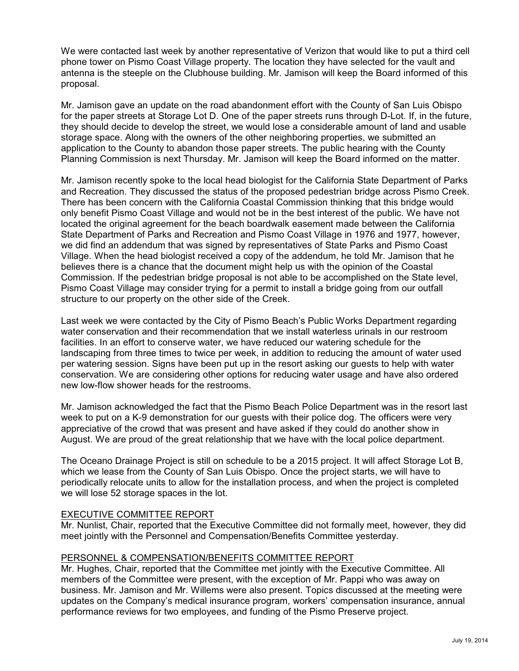We were contacted last week by another representative of Verizon that would like to put a third cell phone tower on Pismo Coast Village property. The location they have selected for the vault and antenna is the steeple on the Clubhouse building. Mr. Jamison will keep the Board informed of this proposal.

Mr. Jamison gave an update on the road abandonment effort with the County of San Luis Obispo for the paper streets at Storage Lot D. One of the paper streets runs through D-Lot. If, in the future, they should decide to develop the street, we would lose a considerable amount of land and usable storage space. Along with the owners of the other neighboring properties, we submitted an application to the County to abandon those paper streets. The public hearing with the County Planning Commission is next Thursday. Mr. Jamison will keep the Board informed on the matter.

Mr. Jamison recently spoke to the local head biologist for the California State Department of Parks and Recreation. They discussed the status of the proposed pedestrian bridge across Pismo Creek. There has been concern with the California Coastal Commission thinking that this bridge would only benefit Pismo Coast Village and would not be in the best interest of the public. We have not located the original agreement for the beach boardwalk easement made between the California State Department of Parks and Recreation and Pismo Coast Village in 1976 and 1977, however, we did find an addendum that was signed by representatives of State Parks and Pismo Coast Village. When the head biologist received a copy of the addendum, he told Mr. Jamison that he believes there is a chance that the document might help us with the opinion of the Coastal Commission. If the pedestrian bridge proposal is not able to be accomplished on the State level, Pismo Coast Village may consider trying for a permit to install a bridge going from our outfall structure to our property on the other side of the Creek.

Last week we were contacted by the City of Pismo Beach's Public Works Department regarding water conservation and their recommendation that we install waterless urinals in our restroom facilities. In an effort to conserve water, we have reduced our watering schedule for the landscaping from three times to twice per week, in addition to reducing the amount of water used per watering session. Signs have been put up in the resort asking our guests to help with water conservation. We are considering other options for reducing water usage and have also ordered new low-flow shower heads for the restrooms.

Mr. Jamison acknowledged the fact that the Pismo Beach Police Department was in the resort last week to put on a K-9 demonstration for our guests with their police dog. The officers were very appreciative of the crowd that was present and have asked if they could do another show in August. We are proud of the great relationship that we have with the local police department.

The Oceano Drainage Project is still on schedule to be a 2015 project. It will affect Storage Lot B, which we lease from the County of San Luis Obispo. Once the project starts, we will have to periodically relocate units to allow for the installation process, and when the project is completed we will lose 52 storage spaces in the lot.

# EXECUTIVE COMMITTEE REPORT

Mr. Nunlist, Chair, reported that the Executive Committee did not formally meet, however, they did meet jointly with the Personnel and Compensation/Benefits Committee yesterday.

### PERSONNEL & COMPENSATION/BENEFITS COMMITTEE REPORT

Mr. Hughes, Chair, reported that the Committee met jointly with the Executive Committee. All members of the Committee were present, with the exception of Mr. Pappi who was away on business. Mr. Jamison and Mr. Willems were also present. Topics discussed at the meeting were updates on the Company's medical insurance program, workers' compensation insurance, annual performance reviews for two employees, and funding of the Pismo Preserve project.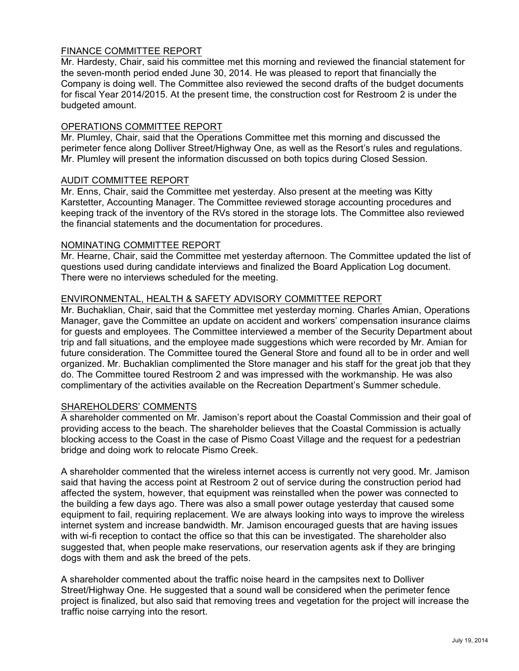# FINANCE COMMITTEE REPORT

Mr. Hardesty, Chair, said his committee met this morning and reviewed the financial statement for the seven-month period ended June 30, 2014. He was pleased to report that financially the Company is doing well. The Committee also reviewed the second drafts of the budget documents for fiscal Year 2014/2015. At the present time, the construction cost for Restroom 2 is under the budgeted amount.

## OPERATIONS COMMITTEE REPORT

Mr. Plumley, Chair, said that the Operations Committee met this morning and discussed the perimeter fence along Dolliver Street/Highway One, as well as the Resort's rules and regulations. Mr. Plumley will present the information discussed on both topics during Closed Session.

### AUDIT COMMITTEE REPORT

Mr. Enns, Chair, said the Committee met yesterday. Also present at the meeting was Kitty Karstetter, Accounting Manager. The Committee reviewed storage accounting procedures and keeping track of the inventory of the RVs stored in the storage lots. The Committee also reviewed the financial statements and the documentation for procedures.

# NOMINATING COMMITTEE REPORT

Mr. Hearne, Chair, said the Committee met yesterday afternoon. The Committee updated the list of questions used during candidate interviews and finalized the Board Application Log document. There were no interviews scheduled for the meeting.

# ENVIRONMENTAL, HEALTH & SAFETY ADVISORY COMMITTEE REPORT

Mr. Buchaklian, Chair, said that the Committee met yesterday morning. Charles Amian, Operations Manager, gave the Committee an update on accident and workers' compensation insurance claims for guests and employees. The Committee interviewed a member of the Security Department about trip and fall situations, and the employee made suggestions which were recorded by Mr. Amian for future consideration. The Committee toured the General Store and found all to be in order and well organized. Mr. Buchaklian complimented the Store manager and his staff for the great job that they do. The Committee toured Restroom 2 and was impressed with the workmanship. He was also complimentary of the activities available on the Recreation Department's Summer schedule.

# SHAREHOLDERS' COMMENTS

A shareholder commented on Mr. Jamison's report about the Coastal Commission and their goal of providing access to the beach. The shareholder believes that the Coastal Commission is actually blocking access to the Coast in the case of Pismo Coast Village and the request for a pedestrian bridge and doing work to relocate Pismo Creek.

A shareholder commented that the wireless internet access is currently not very good. Mr. Jamison said that having the access point at Restroom 2 out of service during the construction period had affected the system, however, that equipment was reinstalled when the power was connected to the building a few days ago. There was also a small power outage yesterday that caused some equipment to fail, requiring replacement. We are always looking into ways to improve the wireless internet system and increase bandwidth. Mr. Jamison encouraged guests that are having issues with wi-fi reception to contact the office so that this can be investigated. The shareholder also suggested that, when people make reservations, our reservation agents ask if they are bringing dogs with them and ask the breed of the pets.

A shareholder commented about the traffic noise heard in the campsites next to Dolliver Street/Highway One. He suggested that a sound wall be considered when the perimeter fence project is finalized, but also said that removing trees and vegetation for the project will increase the traffic noise carrying into the resort.